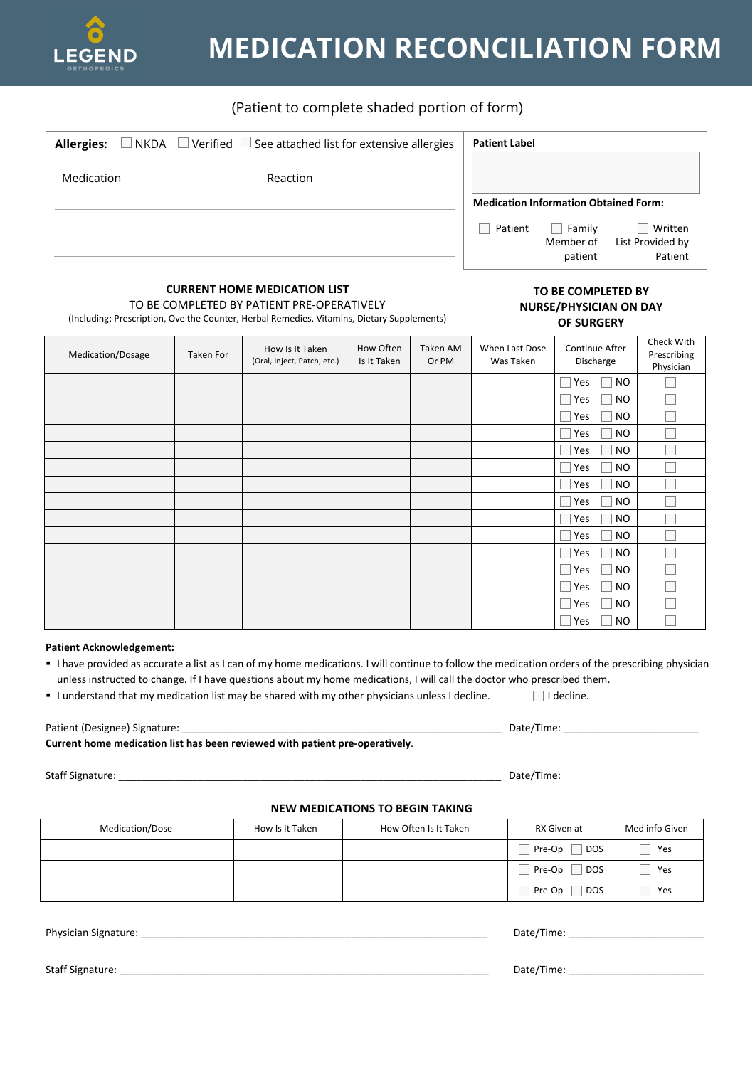

# **MEDICATION RECONCILIATION FORM**

## (Patient to complete shaded portion of form)

| $\Box$ NKDA $\Box$ Verified $\Box$ See attached list for extensive allergies<br><b>Allergies:</b> |          | <b>Patient Label</b>                         |                                |                                        |  |
|---------------------------------------------------------------------------------------------------|----------|----------------------------------------------|--------------------------------|----------------------------------------|--|
| Medication                                                                                        | Reaction | <b>Medication Information Obtained Form:</b> |                                |                                        |  |
|                                                                                                   |          | Patient                                      | Family<br>Member of<br>patient | Written<br>List Provided by<br>Patient |  |

## **CURRENT HOME MEDICATION LIST**

TO BE COMPLETED BY PATIENT PRE-OPERATIVELY

(Including: Prescription, Ove the Counter, Herbal Remedies, Vitamins, Dietary Supplements)

#### **TO BE COMPLETED BY NURSE/PHYSICIAN ON DAY OF SURGERY**

| Medication/Dosage | Taken For | How Is It Taken<br>(Oral, Inject, Patch, etc.) | How Often<br>Is It Taken | Taken AM<br>Or PM | When Last Dose<br>Was Taken | Continue After<br>Discharge | Check With<br>Prescribing<br>Physician |
|-------------------|-----------|------------------------------------------------|--------------------------|-------------------|-----------------------------|-----------------------------|----------------------------------------|
|                   |           |                                                |                          |                   |                             | <b>NO</b><br>Yes            |                                        |
|                   |           |                                                |                          |                   |                             | <b>NO</b><br>Yes            |                                        |
|                   |           |                                                |                          |                   |                             | <b>NO</b><br>Yes            |                                        |
|                   |           |                                                |                          |                   |                             | <b>NO</b><br>Yes            |                                        |
|                   |           |                                                |                          |                   |                             | <b>NO</b><br>Yes            |                                        |
|                   |           |                                                |                          |                   |                             | <b>NO</b><br>Yes            |                                        |
|                   |           |                                                |                          |                   |                             | <b>NO</b><br>Yes            |                                        |
|                   |           |                                                |                          |                   |                             | <b>NO</b><br>Yes            |                                        |
|                   |           |                                                |                          |                   |                             | <b>NO</b><br>Yes            |                                        |
|                   |           |                                                |                          |                   |                             | <b>NO</b><br>Yes            |                                        |
|                   |           |                                                |                          |                   |                             | <b>NO</b><br>Yes            |                                        |
|                   |           |                                                |                          |                   |                             | <b>NO</b><br>Yes            |                                        |
|                   |           |                                                |                          |                   |                             | <b>NO</b><br>Yes            |                                        |
|                   |           |                                                |                          |                   |                             | <b>NO</b><br>Yes            |                                        |
|                   |           |                                                |                          |                   |                             | <b>NO</b><br>Yes            |                                        |

#### **Patient Acknowledgement:**

- I have provided as accurate a list as I can of my home medications. I will continue to follow the medication orders of the prescribing physician unless instructed to change. If I have questions about my home medications, I will call the doctor who prescribed them.
- I understand that my medication list may be shared with my other physicians unless I decline. **I** I decline.

Patient (Designee) Signature: \_\_\_\_\_\_\_\_\_\_\_\_\_\_\_\_\_\_\_\_\_\_\_\_\_\_\_\_\_\_\_\_\_\_\_\_\_\_\_\_\_\_\_\_\_\_\_\_\_\_\_\_\_\_\_\_\_ Date/Time: \_\_\_\_\_\_\_\_\_\_\_\_\_\_\_\_\_\_\_\_\_\_\_\_

**Current home medication list has been reviewed with patient pre-operatively**.

### **NEW MEDICATIONS TO BEGIN TAKING**

| Medication/Dose | How Is It Taken | How Often Is It Taken | RX Given at          | Med info Given |
|-----------------|-----------------|-----------------------|----------------------|----------------|
|                 |                 |                       | <b>DOS</b><br>Pre-Op | Yes            |
|                 |                 |                       | <b>DOS</b><br>Pre-Op | Yes            |
|                 |                 |                       | <b>DOS</b><br>Pre-Op | Yes            |

Physician Signature: \_\_\_\_\_\_\_\_\_\_\_\_\_\_\_\_\_\_\_\_\_\_\_\_\_\_\_\_\_\_\_\_\_\_\_\_\_\_\_\_\_\_\_\_\_\_\_\_\_\_\_\_\_\_\_\_\_\_\_\_\_ Date/Time: \_\_\_\_\_\_\_\_\_\_\_\_\_\_\_\_\_\_\_\_\_\_\_\_

Staff Signature: \_\_\_\_\_\_\_\_\_\_\_\_\_\_\_\_\_\_\_\_\_\_\_\_\_\_\_\_\_\_\_\_\_\_\_\_\_\_\_\_\_\_\_\_\_\_\_\_\_\_\_\_\_\_\_\_\_\_\_\_\_\_\_\_\_ Date/Time: \_\_\_\_\_\_\_\_\_\_\_\_\_\_\_\_\_\_\_\_\_\_\_\_

Staff Signature: \_\_\_\_\_\_\_\_\_\_\_\_\_\_\_\_\_\_\_\_\_\_\_\_\_\_\_\_\_\_\_\_\_\_\_\_\_\_\_\_\_\_\_\_\_\_\_\_\_\_\_\_\_\_\_\_\_\_\_\_\_\_\_\_\_\_\_\_ Date/Time: \_\_\_\_\_\_\_\_\_\_\_\_\_\_\_\_\_\_\_\_\_\_\_\_\_\_\_\_\_\_\_\_